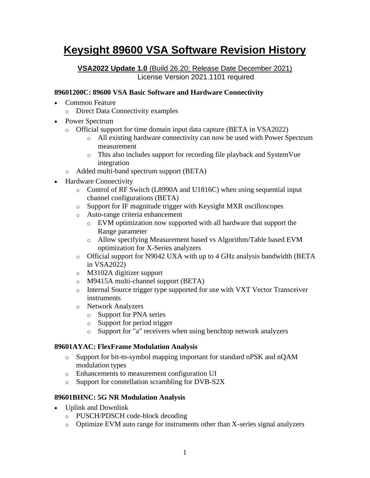# **Keysight 89600 VSA Software Revision History**

**VSA2022 Update 1.0** (Build 26.20; Release Date December 2021) License Version 2021.1101 required

#### **89601200C: 89600 VSA Basic Software and Hardware Connectivity**

- Common Feature
	- o Direct Data Connectivity examples
- Power Spectrum
	- o Official support for time domain input data capture (BETA in VSA2022)
		- o All existing hardware connectivity can now be used with Power Spectrum measurement
		- o This also includes support for recording file playback and SystemVue integration
	- o Added multi-band spectrum support (BETA)
- Hardware Connectivity
	- o Control of RF Switch (L8990A and U1816C) when using sequential input channel configurations (BETA)
	- o Support for IF magnitude trigger with Keysight MXR oscilloscopes
	- o Auto-range criteria enhancement
		- o EVM optimization now supported with all hardware that support the Range parameter
		- o Allow specifying Measurement based vs Algorithm/Table based EVM optimization for X-Series analyzers
	- o Official support for N9042 UXA with up to 4 GHz analysis bandwidth (BETA in VSA2022)
	- o M3102A digitizer support
	- o M9415A multi-channel support (BETA)
	- o Internal Source trigger type supported for use with VXT Vector Transceiver instruments
	- o Network Analyzers
		- o Support for PNA series
		- o Support for period trigger
		- o Support for "a" receivers when using benchtop network analyzers

### **89601AYAC: FlexFrame Modulation Analysis**

- o Support for bit-to-symbol mapping important for standard nPSK and nQAM modulation types
- o Enhancements to measurement configuration UI
- o Support for constellation scrambling for DVB-S2X

#### **89601BHNC: 5G NR Modulation Analysis**

- Uplink and Downlink
	- o PUSCH/PDSCH code-block decoding
	- o Optimize EVM auto range for instruments other than X-series signal analyzers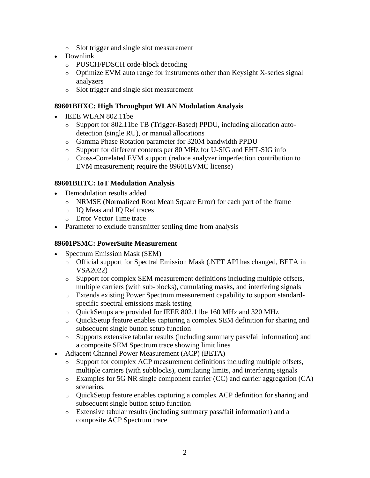- o Slot trigger and single slot measurement
- Downlink
	- o PUSCH/PDSCH code-block decoding
	- o Optimize EVM auto range for instruments other than Keysight X-series signal analyzers
	- o Slot trigger and single slot measurement

#### **89601BHXC: High Throughput WLAN Modulation Analysis**

- **IEEE WLAN 802.11be** 
	- o Support for 802.11be TB (Trigger-Based) PPDU, including allocation autodetection (single RU), or manual allocations
	- o Gamma Phase Rotation parameter for 320M bandwidth PPDU
	- o Support for different contents per 80 MHz for U-SIG and EHT-SIG info
	- o Cross-Correlated EVM support (reduce analyzer imperfection contribution to EVM measurement; require the 89601EVMC license)

#### **89601BHTC: IoT Modulation Analysis**

- Demodulation results added
	- o NRMSE (Normalized Root Mean Square Error) for each part of the frame
	- o IQ Meas and IQ Ref traces
	- o Error Vector Time trace
- Parameter to exclude transmitter settling time from analysis

### **89601PSMC: PowerSuite Measurement**

- Spectrum Emission Mask (SEM)
	- o Official support for Spectral Emission Mask (.NET API has changed, BETA in VSA2022)
	- $\circ$  Support for complex SEM measurement definitions including multiple offsets, multiple carriers (with sub-blocks), cumulating masks, and interfering signals
	- o Extends existing Power Spectrum measurement capability to support standardspecific spectral emissions mask testing
	- o QuickSetups are provided for IEEE 802.11be 160 MHz and 320 MHz
	- o QuickSetup feature enables capturing a complex SEM definition for sharing and subsequent single button setup function
	- o Supports extensive tabular results (including summary pass/fail information) and a composite SEM Spectrum trace showing limit lines
- Adjacent Channel Power Measurement (ACP) (BETA)
	- o Support for complex ACP measurement definitions including multiple offsets, multiple carriers (with subblocks), cumulating limits, and interfering signals
	- o Examples for 5G NR single component carrier (CC) and carrier aggregation (CA) scenarios.
	- o QuickSetup feature enables capturing a complex ACP definition for sharing and subsequent single button setup function
	- o Extensive tabular results (including summary pass/fail information) and a composite ACP Spectrum trace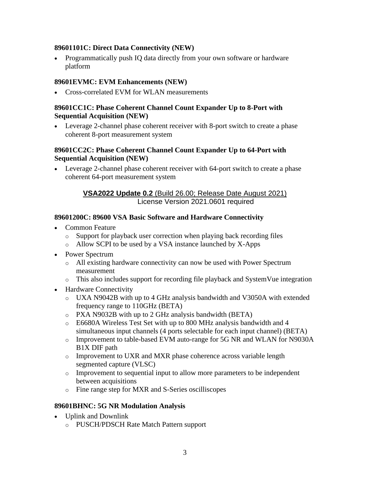#### **89601101C: Direct Data Connectivity (NEW)**

• Programmatically push IQ data directly from your own software or hardware platform

### **89601EVMC: EVM Enhancements (NEW)**

• Cross-correlated EVM for WLAN measurements

#### **89601CC1C: Phase Coherent Channel Count Expander Up to 8-Port with Sequential Acquisition (NEW)**

• Leverage 2-channel phase coherent receiver with 8-port switch to create a phase coherent 8-port measurement system

#### **89601CC2C: Phase Coherent Channel Count Expander Up to 64-Port with Sequential Acquisition (NEW)**

• Leverage 2-channel phase coherent receiver with 64-port switch to create a phase coherent 64-port measurement system

### **VSA2022 Update 0.2** (Build 26.00; Release Date August 2021) License Version 2021.0601 required

#### **89601200C: 89600 VSA Basic Software and Hardware Connectivity**

- Common Feature
	- o Support for playback user correction when playing back recording files
	- o Allow SCPI to be used by a VSA instance launched by X-Apps
- Power Spectrum
	- o All existing hardware connectivity can now be used with Power Spectrum measurement
	- o This also includes support for recording file playback and SystemVue integration
- Hardware Connectivity
	- o UXA N9042B with up to 4 GHz analysis bandwidth and V3050A with extended frequency range to 110GHz (BETA)
	- o PXA N9032B with up to 2 GHz analysis bandwidth (BETA)
	- o E6680A Wireless Test Set with up to 800 MHz analysis bandwidth and 4 simultaneous input channels (4 ports selectable for each input channel) (BETA)
	- o Improvement to table-based EVM auto-range for 5G NR and WLAN for N9030A B1X DIF path
	- o Improvement to UXR and MXR phase coherence across variable length segmented capture (VLSC)
	- $\circ$  Improvement to sequential input to allow more parameters to be independent between acquisitions
	- o Fine range step for MXR and S-Series oscilliscopes

#### **89601BHNC: 5G NR Modulation Analysis**

- Uplink and Downlink
	- o PUSCH/PDSCH Rate Match Pattern support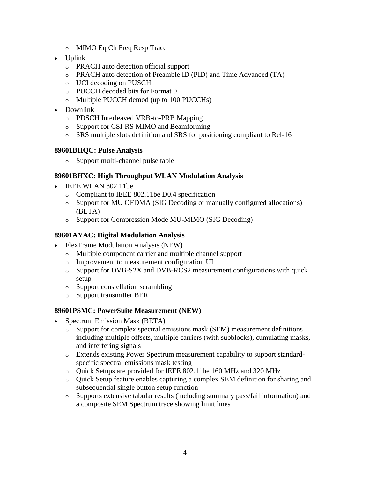- o MIMO Eq Ch Freq Resp Trace
- Uplink
	- o PRACH auto detection official support
	- o PRACH auto detection of Preamble ID (PID) and Time Advanced (TA)
	- o UCI decoding on PUSCH
	- o PUCCH decoded bits for Format 0
	- o Multiple PUCCH demod (up to 100 PUCCHs)
- Downlink
	- o PDSCH Interleaved VRB-to-PRB Mapping
	- o Support for CSI-RS MIMO and Beamforming
	- o SRS multiple slots definition and SRS for positioning compliant to Rel-16

#### **89601BHQC: Pulse Analysis**

o Support multi-channel pulse table

#### **89601BHXC: High Throughput WLAN Modulation Analysis**

- IEEE WLAN 802.11be
	- o Compliant to IEEE 802.11be D0.4 specification
	- o Support for MU OFDMA (SIG Decoding or manually configured allocations) (BETA)
	- o Support for Compression Mode MU-MIMO (SIG Decoding)

#### **89601AYAC: Digital Modulation Analysis**

- FlexFrame Modulation Analysis (NEW)
	- o Multiple component carrier and multiple channel support
	- o Improvement to measurement configuration UI
	- o Support for DVB-S2X and DVB-RCS2 measurement configurations with quick setup
	- o Support constellation scrambling
	- o Support transmitter BER

#### **89601PSMC: PowerSuite Measurement (NEW)**

- Spectrum Emission Mask (BETA)
	- $\circ$  Support for complex spectral emissions mask (SEM) measurement definitions including multiple offsets, multiple carriers (with subblocks), cumulating masks, and interfering signals
	- o Extends existing Power Spectrum measurement capability to support standardspecific spectral emissions mask testing
	- o Quick Setups are provided for IEEE 802.11be 160 MHz and 320 MHz
	- o Quick Setup feature enables capturing a complex SEM definition for sharing and subsequential single button setup function
	- o Supports extensive tabular results (including summary pass/fail information) and a composite SEM Spectrum trace showing limit lines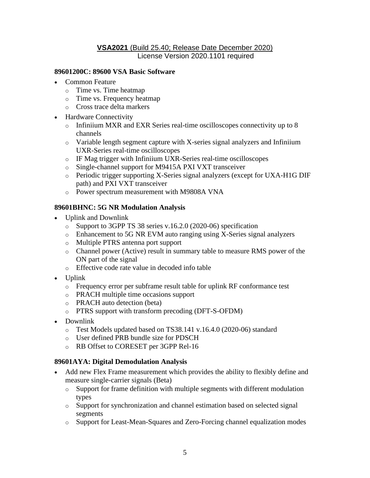#### **VSA2021** (Build 25.40; Release Date December 2020) License Version 2020.1101 required

#### **89601200C: 89600 VSA Basic Software**

- Common Feature
	- o Time vs. Time heatmap
	- o Time vs. Frequency heatmap
	- o Cross trace delta markers
- Hardware Connectivity
	- o Infiniium MXR and EXR Series real-time oscilloscopes connectivity up to 8 channels
	- $\circ$  Variable length segment capture with X-series signal analyzers and Infiniium UXR-Series real-time oscilloscopes
	- o IF Mag trigger with Infiniium UXR-Series real-time oscilloscopes
	- o Single-channel support for M9415A PXI VXT transceiver
	- o Periodic trigger supporting X-Series signal analyzers (except for UXA-H1G DIF path) and PXI VXT transceiver
	- o Power spectrum measurement with M9808A VNA

#### **89601BHNC: 5G NR Modulation Analysis**

- Uplink and Downlink
	- o Support to 3GPP TS 38 series v.16.2.0 (2020-06) specification
	- o Enhancement to 5G NR EVM auto ranging using X-Series signal analyzers
	- o Multiple PTRS antenna port support
	- o Channel power (Active) result in summary table to measure RMS power of the ON part of the signal
	- o Effective code rate value in decoded info table
- Uplink
	- o Frequency error per subframe result table for uplink RF conformance test
	- o PRACH multiple time occasions support
	- o PRACH auto detection (beta)
	- o PTRS support with transform precoding (DFT-S-OFDM)
- Downlink
	- o Test Models updated based on TS38.141 v.16.4.0 (2020-06) standard
	- o User defined PRB bundle size for PDSCH
	- o RB Offset to CORESET per 3GPP Rel-16

#### **89601AYA: Digital Demodulation Analysis**

- Add new Flex Frame measurement which provides the ability to flexibly define and measure single-carrier signals (Beta)
	- o Support for frame definition with multiple segments with different modulation types
	- o Support for synchronization and channel estimation based on selected signal segments
	- o Support for Least-Mean-Squares and Zero-Forcing channel equalization modes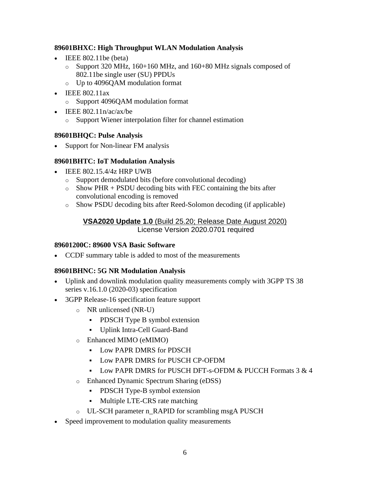### **89601BHXC: High Throughput WLAN Modulation Analysis**

- IEEE 802.11be (beta)
	- o Support 320 MHz, 160+160 MHz, and 160+80 MHz signals composed of 802.11be single user (SU) PPDUs
	- o Up to 4096QAM modulation format
- IEEE 802.11ax
	- o Support 4096QAM modulation format
- IEEE  $802.11n/ac/ax/be$ 
	- o Support Wiener interpolation filter for channel estimation

### **89601BHQC: Pulse Analysis**

• Support for Non-linear FM analysis

### **89601BHTC: IoT Modulation Analysis**

- IEEE 802.15.4/4z HRP UWB
	- o Support demodulated bits (before convolutional decoding)
	- $\circ$  Show PHR + PSDU decoding bits with FEC containing the bits after convolutional encoding is removed
	- o Show PSDU decoding bits after Reed-Solomon decoding (if applicable)

### **VSA2020 Update 1.0** (Build 25.20; Release Date August 2020) License Version 2020.0701 required

### **89601200C: 89600 VSA Basic Software**

• CCDF summary table is added to most of the measurements

# **89601BHNC: 5G NR Modulation Analysis**

- Uplink and downlink modulation quality measurements comply with 3GPP TS 38 series v.16.1.0 (2020-03) specification
- 3GPP Release-16 specification feature support
	- o NR unlicensed (NR-U)
		- **•** PDSCH Type B symbol extension
		- Uplink Intra-Cell Guard-Band
	- o Enhanced MIMO (eMIMO)
		- Low PAPR DMRS for PDSCH
		- Low PAPR DMRS for PUSCH CP-OFDM
		- Low PAPR DMRS for PUSCH DFT-s-OFDM & PUCCH Formats 3 & 4
	- o Enhanced Dynamic Spectrum Sharing (eDSS)
		- **•** PDSCH Type-B symbol extension
		- Multiple LTE-CRS rate matching
	- o UL-SCH parameter n\_RAPID for scrambling msgA PUSCH
- Speed improvement to modulation quality measurements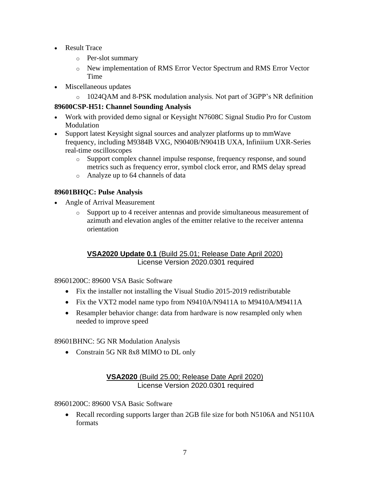- Result Trace
	- o Per-slot summary
	- o New implementation of RMS Error Vector Spectrum and RMS Error Vector Time
- Miscellaneous updates
	- $\circ$  1024QAM and 8-PSK modulation analysis. Not part of 3GPP's NR definition

### **89600CSP-H51: Channel Sounding Analysis**

- Work with provided demo signal or Keysight N7608C Signal Studio Pro for Custom Modulation
- Support latest Keysight signal sources and analyzer platforms up to mmWave frequency, including M9384B VXG, N9040B/N9041B UXA, Infiniium UXR-Series real-time oscilloscopes
	- o Support complex channel impulse response, frequency response, and sound metrics such as frequency error, symbol clock error, and RMS delay spread
	- o Analyze up to 64 channels of data

# **89601BHQC: Pulse Analysis**

- Angle of Arrival Measurement
	- o Support up to 4 receiver antennas and provide simultaneous measurement of azimuth and elevation angles of the emitter relative to the receiver antenna orientation

### **VSA2020 Update 0.1** (Build 25.01; Release Date April 2020) License Version 2020.0301 required

89601200C: 89600 VSA Basic Software

- Fix the installer not installing the Visual Studio 2015-2019 redistributable
- Fix the VXT2 model name typo from N9410A/N9411A to M9410A/M9411A
- Resampler behavior change: data from hardware is now resampled only when needed to improve speed

89601BHNC: 5G NR Modulation Analysis

• Constrain 5G NR 8x8 MIMO to DL only

### **VSA2020** (Build 25.00; Release Date April 2020) License Version 2020.0301 required

### 89601200C: 89600 VSA Basic Software

• Recall recording supports larger than 2GB file size for both N5106A and N5110A formats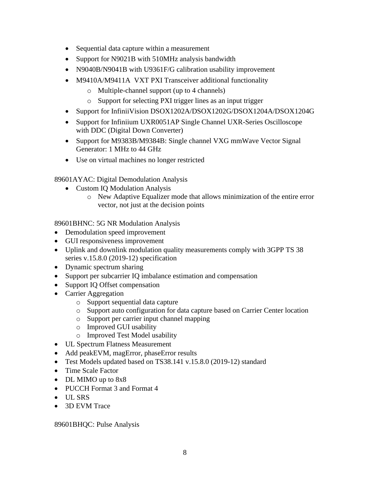- Sequential data capture within a measurement
- Support for N9021B with 510MHz analysis bandwidth
- N9040B/N9041B with U9361F/G calibration usability improvement
- M9410A/M9411A VXT PXI Transceiver additional functionality
	- o Multiple-channel support (up to 4 channels)
	- o Support for selecting PXI trigger lines as an input trigger
- Support for InfiniiVision DSOX1202A/DSOX1202G/DSOX1204A/DSOX1204G
- Support for Infiniium UXR0051AP Single Channel UXR-Series Oscilloscope with DDC (Digital Down Converter)
- Support for M9383B/M9384B: Single channel VXG mmWave Vector Signal Generator: 1 MHz to 44 GHz
- Use on virtual machines no longer restricted

89601AYAC: Digital Demodulation Analysis

- Custom IQ Modulation Analysis
	- o New Adaptive Equalizer mode that allows minimization of the entire error vector, not just at the decision points

89601BHNC: 5G NR Modulation Analysis

- Demodulation speed improvement
- GUI responsiveness improvement
- Uplink and downlink modulation quality measurements comply with 3GPP TS 38 series v.15.8.0 (2019-12) specification
- Dynamic spectrum sharing
- Support per subcarrier IQ imbalance estimation and compensation
- Support IQ Offset compensation
- Carrier Aggregation
	- o Support sequential data capture
	- o Support auto configuration for data capture based on Carrier Center location
	- o Support per carrier input channel mapping
	- o Improved GUI usability
	- o Improved Test Model usability
- UL Spectrum Flatness Measurement
- Add peakEVM, magError, phaseError results
- Test Models updated based on TS38.141 v.15.8.0 (2019-12) standard
- Time Scale Factor
- DL MIMO up to 8x8
- PUCCH Format 3 and Format 4
- UL SRS
- 3D EVM Trace

89601BHQC: Pulse Analysis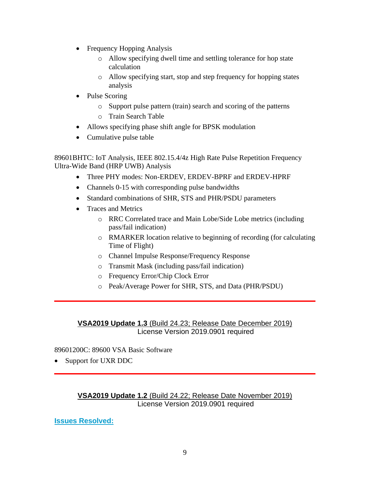- Frequency Hopping Analysis
	- o Allow specifying dwell time and settling tolerance for hop state calculation
	- o Allow specifying start, stop and step frequency for hopping states analysis
- Pulse Scoring
	- o Support pulse pattern (train) search and scoring of the patterns
	- o Train Search Table
- Allows specifying phase shift angle for BPSK modulation
- Cumulative pulse table

89601BHTC: IoT Analysis, IEEE 802.15.4/4z High Rate Pulse Repetition Frequency Ultra-Wide Band (HRP UWB) Analysis

- Three PHY modes: Non-ERDEV, ERDEV-BPRF and ERDEV-HPRF
- Channels 0-15 with corresponding pulse bandwidths
- Standard combinations of SHR, STS and PHR/PSDU parameters
- Traces and Metrics
	- o RRC Correlated trace and Main Lobe/Side Lobe metrics (including pass/fail indication)
	- o RMARKER location relative to beginning of recording (for calculating Time of Flight)
	- o Channel Impulse Response/Frequency Response
	- o Transmit Mask (including pass/fail indication)
	- o Frequency Error/Chip Clock Error
	- o Peak/Average Power for SHR, STS, and Data (PHR/PSDU)

# **VSA2019 Update 1.3** (Build 24.23; Release Date December 2019) License Version 2019.0901 required

### 89601200C: 89600 VSA Basic Software

• Support for UXR DDC

### **VSA2019 Update 1.2** (Build 24.22; Release Date November 2019) License Version 2019.0901 required

**Issues Resolved:**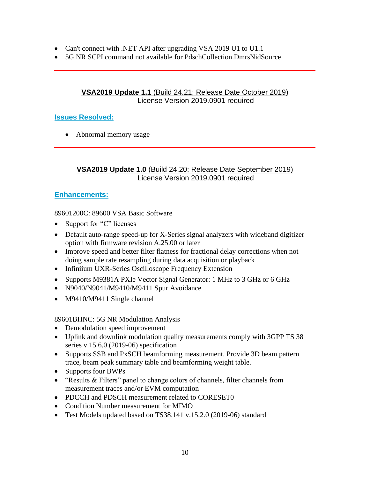- Can't connect with .NET API after upgrading VSA 2019 U1 to U1.1
- 5G NR SCPI command not available for PdschCollection.DmrsNidSource

### **VSA2019 Update 1.1** (Build 24.21; Release Date October 2019) License Version 2019.0901 required

### **Issues Resolved:**

• Abnormal memory usage

### **VSA2019 Update 1.0** (Build 24.20; Release Date September 2019) License Version 2019.0901 required

### **Enhancements:**

89601200C: 89600 VSA Basic Software

- Support for "C" licenses
- Default auto-range speed-up for X-Series signal analyzers with wideband digitizer option with firmware revision A.25.00 or later
- Improve speed and better filter flatness for fractional delay corrections when not doing sample rate resampling during data acquisition or playback
- Infiniium UXR-Series Oscilloscope Frequency Extension
- Supports M9381A PXIe Vector Signal Generator: 1 MHz to 3 GHz or 6 GHz
- N9040/N9041/M9410/M9411 Spur Avoidance
- M9410/M9411 Single channel

89601BHNC: 5G NR Modulation Analysis

- Demodulation speed improvement
- Uplink and downlink modulation quality measurements comply with 3GPP TS 38 series v.15.6.0 (2019-06) specification
- Supports SSB and PxSCH beamforming measurement. Provide 3D beam pattern trace, beam peak summary table and beamforming weight table.
- Supports four BWPs
- "Results & Filters" panel to change colors of channels, filter channels from measurement traces and/or EVM computation
- PDCCH and PDSCH measurement related to CORESET0
- Condition Number measurement for MIMO
- Test Models updated based on TS38.141 v.15.2.0 (2019-06) standard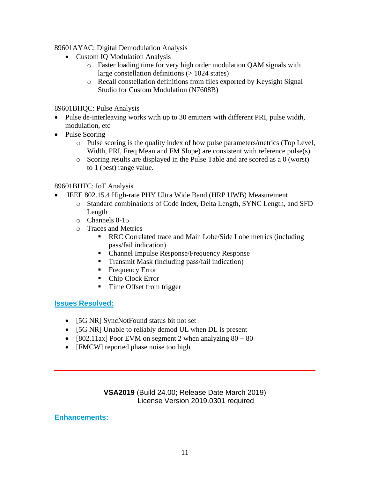89601AYAC: Digital Demodulation Analysis

- Custom IQ Modulation Analysis
	- o Faster loading time for very high order modulation QAM signals with large constellation definitions (> 1024 states)
	- o Recall constellation definitions from files exported by Keysight Signal Studio for Custom Modulation (N7608B)

89601BHQC: Pulse Analysis

- Pulse de-interleaving works with up to 30 emitters with different PRI, pulse width, modulation, etc
- Pulse Scoring
	- o Pulse scoring is the quality index of how pulse parameters/metrics (Top Level, Width, PRI, Freq Mean and FM Slope) are consistent with reference pulse(s).
	- o Scoring results are displayed in the Pulse Table and are scored as a 0 (worst) to 1 (best) range value.

### 89601BHTC: IoT Analysis

- IEEE 802.15.4 High-rate PHY Ultra Wide Band (HRP UWB) Measurement
	- o Standard combinations of Code Index, Delta Length, SYNC Length, and SFD Length
	- o Channels 0-15
	- o Traces and Metrics
		- RRC Correlated trace and Main Lobe/Side Lobe metrics (including pass/fail indication)
		- Channel Impulse Response/Frequency Response
		- **Transmit Mask (including pass/fail indication)**
		- Frequency Error
		- Chip Clock Error
		- Time Offset from trigger

# **Issues Resolved:**

- [5G NR] SyncNotFound status bit not set
- [5G NR] Unable to reliably demod UL when DL is present
- [802.11ax] Poor EVM on segment 2 when analyzing  $80 + 80$
- [FMCW] reported phase noise too high

### **VSA2019** (Build 24.00; Release Date March 2019) License Version 2019.0301 required

# **Enhancements:**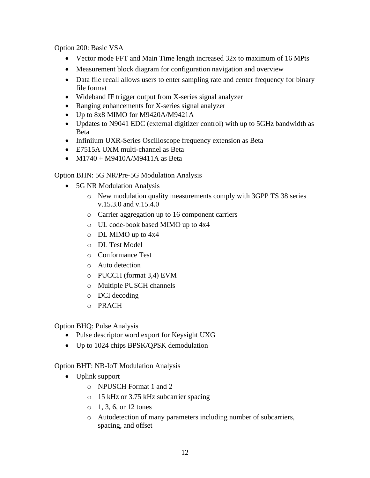Option 200: Basic VSA

- Vector mode FFT and Main Time length increased 32x to maximum of 16 MPts
- Measurement block diagram for configuration navigation and overview
- Data file recall allows users to enter sampling rate and center frequency for binary file format
- Wideband IF trigger output from X-series signal analyzer
- Ranging enhancements for X-series signal analyzer
- Up to 8x8 MIMO for M9420A/M9421A
- Updates to N9041 EDC (external digitizer control) with up to 5GHz bandwidth as Beta
- Infiniium UXR-Series Oscilloscope frequency extension as Beta
- E7515A UXM multi-channel as Beta
- $M1740 + M9410A/M9411A$  as Beta

### Option BHN: 5G NR/Pre-5G Modulation Analysis

- 5G NR Modulation Analysis
	- o New modulation quality measurements comply with 3GPP TS 38 series v.15.3.0 and v.15.4.0
	- o Carrier aggregation up to 16 component carriers
	- o UL code-book based MIMO up to 4x4
	- o DL MIMO up to 4x4
	- o DL Test Model
	- o Conformance Test
	- o Auto detection
	- o PUCCH (format 3,4) EVM
	- o Multiple PUSCH channels
	- o DCI decoding
	- o PRACH

### Option BHQ: Pulse Analysis

- Pulse descriptor word export for Keysight UXG
- Up to 1024 chips BPSK/QPSK demodulation

### Option BHT: NB-IoT Modulation Analysis

- Uplink support
	- o NPUSCH Format 1 and 2
	- o 15 kHz or 3.75 kHz subcarrier spacing
	- $0, 1, 3, 6, or 12$  tones
	- o Autodetection of many parameters including number of subcarriers, spacing, and offset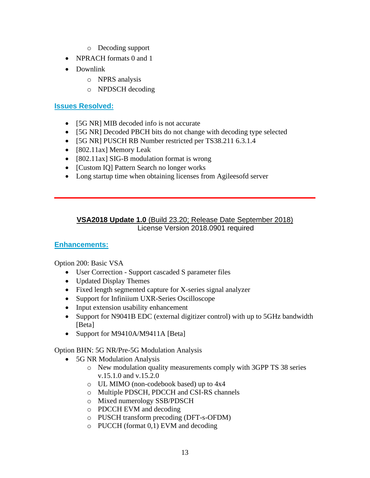- o Decoding support
- NPRACH formats 0 and 1
- Downlink
	- o NPRS analysis
	- o NPDSCH decoding

### **Issues Resolved:**

- [5G NR] MIB decoded info is not accurate
- [5G NR] Decoded PBCH bits do not change with decoding type selected
- [5G NR] PUSCH RB Number restricted per TS38.211 6.3.1.4]
- [802.11ax] Memory Leak
- [802.11ax] SIG-B modulation format is wrong
- [Custom IQ] Pattern Search no longer works
- Long startup time when obtaining licenses from Agileesofd server

### **VSA2018 Update 1.0** (Build 23.20; Release Date September 2018) License Version 2018.0901 required

### **Enhancements:**

Option 200: Basic VSA

- User Correction Support cascaded S parameter files
- Updated Display Themes
- Fixed length segmented capture for X-series signal analyzer
- Support for Infiniium UXR-Series Oscilloscope
- Input extension usability enhancement
- Support for N9041B EDC (external digitizer control) with up to 5GHz bandwidth [Beta]
- Support for M9410A/M9411A [Beta]

Option BHN: 5G NR/Pre-5G Modulation Analysis

- 5G NR Modulation Analysis
	- o New modulation quality measurements comply with 3GPP TS 38 series v.15.1.0 and v.15.2.0
	- o UL MIMO (non-codebook based) up to 4x4
	- o Multiple PDSCH, PDCCH and CSI-RS channels
	- o Mixed numerology SSB/PDSCH
	- o PDCCH EVM and decoding
	- o PUSCH transform precoding (DFT-s-OFDM)
	- o PUCCH (format 0,1) EVM and decoding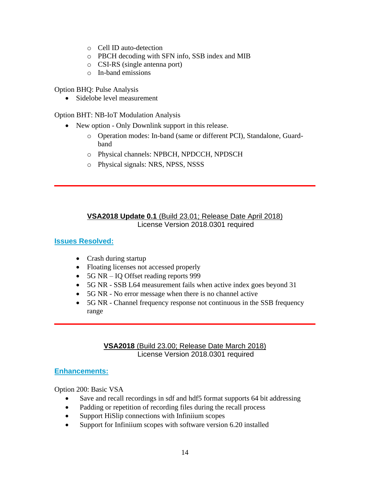- o Cell ID auto-detection
- o PBCH decoding with SFN info, SSB index and MIB
- o CSI-RS (single antenna port)
- o In-band emissions

Option BHQ: Pulse Analysis

• Sidelobe level measurement

Option BHT: NB-IoT Modulation Analysis

- New option Only Downlink support in this release.
	- o Operation modes: In-band (same or different PCI), Standalone, Guardband
	- o Physical channels: NPBCH, NPDCCH, NPDSCH
	- o Physical signals: NRS, NPSS, NSSS

### **VSA2018 Update 0.1** (Build 23.01; Release Date April 2018) License Version 2018.0301 required

### **Issues Resolved:**

- Crash during startup
- Floating licenses not accessed properly
- 5G NR IQ Offset reading reports 999
- 5G NR SSB L64 measurement fails when active index goes beyond 31
- 5G NR No error message when there is no channel active
- 5G NR Channel frequency response not continuous in the SSB frequency range

#### **VSA2018** (Build 23.00; Release Date March 2018) License Version 2018.0301 required

### **Enhancements:**

Option 200: Basic VSA

- Save and recall recordings in sdf and hdf5 format supports 64 bit addressing
- Padding or repetition of recording files during the recall process
- Support HiSlip connections with Infiniium scopes
- Support for Infiniium scopes with software version 6.20 installed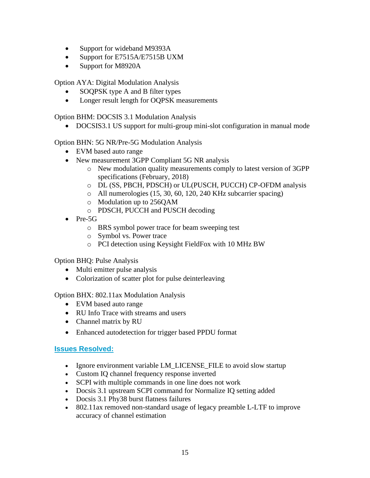- Support for wideband M9393A
- Support for E7515A/E7515B UXM
- Support for M8920A

Option AYA: Digital Modulation Analysis

- SOQPSK type A and B filter types
- Longer result length for OQPSK measurements

Option BHM: DOCSIS 3.1 Modulation Analysis

• DOCSIS3.1 US support for multi-group mini-slot configuration in manual mode

Option BHN: 5G NR/Pre-5G Modulation Analysis

- EVM based auto range
- New measurement 3GPP Compliant 5G NR analysis
	- o New modulation quality measurements comply to latest version of 3GPP specifications (February, 2018)
	- o DL (SS, PBCH, PDSCH) or UL(PUSCH, PUCCH) CP-OFDM analysis
	- o All numerologies (15, 30, 60, 120, 240 KHz subcarrier spacing)
	- o Modulation up to 256QAM
	- o PDSCH, PUCCH and PUSCH decoding
- Pre-5G
	- o BRS symbol power trace for beam sweeping test
	- o Symbol vs. Power trace
	- o PCI detection using Keysight FieldFox with 10 MHz BW

Option BHQ: Pulse Analysis

- Multi emitter pulse analysis
- Colorization of scatter plot for pulse deinterleaving

Option BHX: 802.11ax Modulation Analysis

- EVM based auto range
- RU Info Trace with streams and users
- Channel matrix by RU
- Enhanced autodetection for trigger based PPDU format

# **Issues Resolved:**

- Ignore environment variable LM\_LICENSE\_FILE to avoid slow startup
- Custom IQ channel frequency response inverted
- SCPI with multiple commands in one line does not work
- Docsis 3.1 upstream SCPI command for Normalize IQ setting added
- Docsis 3.1 Phy38 burst flatness failures
- 802.11ax removed non-standard usage of legacy preamble L-LTF to improve accuracy of channel estimation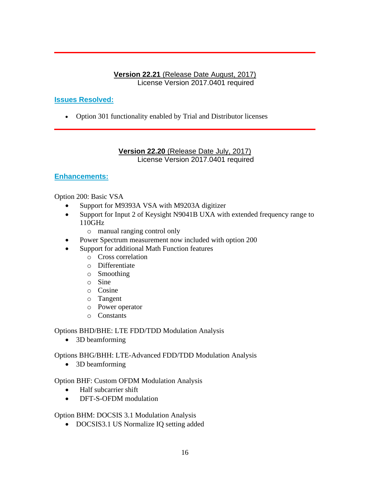### **Version 22.21** (Release Date August, 2017) License Version 2017.0401 required

# **Issues Resolved:**

• Option 301 functionality enabled by Trial and Distributor licenses

#### **Version 22.20** (Release Date July, 2017) License Version 2017.0401 required

### **Enhancements:**

Option 200: Basic VSA

- Support for M9393A VSA with M9203A digitizer
- Support for Input 2 of Keysight N9041B UXA with extended frequency range to 110GHz
	- o manual ranging control only
- Power Spectrum measurement now included with option 200
- Support for additional Math Function features
	- o Cross correlation
	- o Differentiate
	- o Smoothing
	- o Sine
	- o Cosine
	- o Tangent
	- o Power operator
	- o Constants

### Options BHD/BHE: LTE FDD/TDD Modulation Analysis

• 3D beamforming

Options BHG/BHH: LTE-Advanced FDD/TDD Modulation Analysis

• 3D beamforming

### Option BHF: Custom OFDM Modulation Analysis

- Half subcarrier shift
- DFT-S-OFDM modulation

### Option BHM: DOCSIS 3.1 Modulation Analysis

• DOCSIS3.1 US Normalize IQ setting added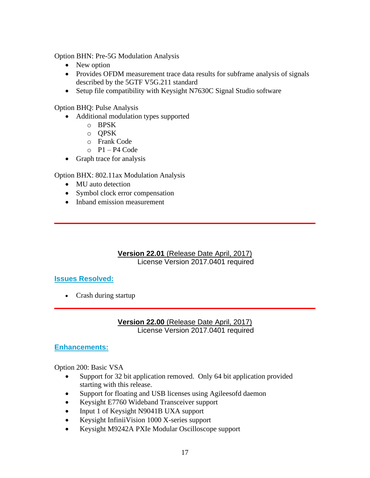Option BHN: Pre-5G Modulation Analysis

- New option
- Provides OFDM measurement trace data results for subframe analysis of signals described by the 5GTF V5G.211 standard
- Setup file compatibility with Keysight N7630C Signal Studio software

Option BHQ: Pulse Analysis

- Additional modulation types supported
	- o BPSK
	- o QPSK
	- o Frank Code
	- $P1 P4 Code$
- Graph trace for analysis

Option BHX: 802.11ax Modulation Analysis

- MU auto detection
- Symbol clock error compensation
- Inband emission measurement

**Version 22.01** (Release Date April, 2017) License Version 2017.0401 required

### **Issues Resolved:**

• Crash during startup

**Version 22.00** (Release Date April, 2017) License Version 2017.0401 required

#### **Enhancements:**

Option 200: Basic VSA

- Support for 32 bit application removed. Only 64 bit application provided starting with this release.
- Support for floating and USB licenses using Agileesofd daemon
- Keysight E7760 Wideband Transceiver support
- Input 1 of Keysight N9041B UXA support
- Keysight InfiniiVision 1000 X-series support
- Keysight M9242A PXIe Modular Oscilloscope support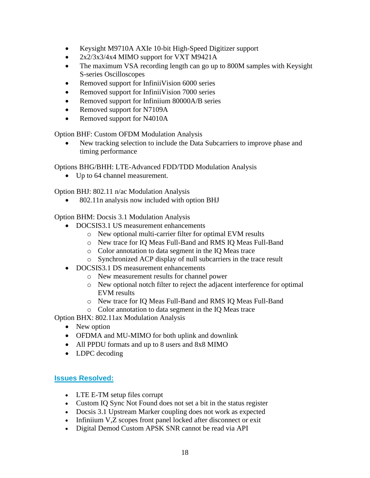- Keysight M9710A AXIe 10-bit High-Speed Digitizer support
- 2x2/3x3/4x4 MIMO support for VXT M9421A
- The maximum VSA recording length can go up to 800M samples with Keysight S-series Oscilloscopes
- Removed support for InfiniiVision 6000 series
- Removed support for InfiniiVision 7000 series
- Removed support for Infiniium 80000A/B series
- Removed support for N7109A
- Removed support for N4010A

Option BHF: Custom OFDM Modulation Analysis

• New tracking selection to include the Data Subcarriers to improve phase and timing performance

Options BHG/BHH: LTE-Advanced FDD/TDD Modulation Analysis

• Up to 64 channel measurement.

Option BHJ: 802.11 n/ac Modulation Analysis

• 802.11n analysis now included with option BHJ

Option BHM: Docsis 3.1 Modulation Analysis

- DOCSIS3.1 US measurement enhancements
	- o New optional multi-carrier filter for optimal EVM results
	- o New trace for IQ Meas Full-Band and RMS IQ Meas Full-Band
	- o Color annotation to data segment in the IQ Meas trace
	- o Synchronized ACP display of null subcarriers in the trace result
- DOCSIS3.1 DS measurement enhancements
	- o New measurement results for channel power
	- o New optional notch filter to reject the adjacent interference for optimal EVM results
	- o New trace for IQ Meas Full-Band and RMS IQ Meas Full-Band
	- o Color annotation to data segment in the IQ Meas trace

Option BHX: 802.11ax Modulation Analysis

- New option
- OFDMA and MU-MIMO for both uplink and downlink
- All PPDU formats and up to 8 users and 8x8 MIMO
- LDPC decoding

### **Issues Resolved:**

- LTE E-TM setup files corrupt
- Custom IQ Sync Not Found does not set a bit in the status register
- Docsis 3.1 Upstream Marker coupling does not work as expected
- Infiniium V,Z scopes front panel locked after disconnect or exit
- Digital Demod Custom APSK SNR cannot be read via API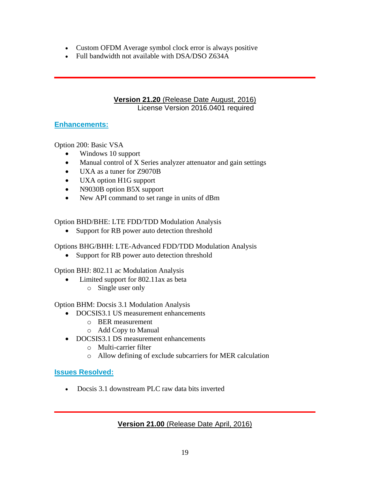- Custom OFDM Average symbol clock error is always positive
- Full bandwidth not available with DSA/DSO Z634A

### **Version 21.20** (Release Date August, 2016) License Version 2016.0401 required

### **Enhancements:**

Option 200: Basic VSA

- Windows 10 support
- Manual control of X Series analyzer attenuator and gain settings
- UXA as a tuner for Z9070B
- UXA option H1G support
- N9030B option B5X support
- New API command to set range in units of dBm

Option BHD/BHE: LTE FDD/TDD Modulation Analysis

• Support for RB power auto detection threshold

Options BHG/BHH: LTE-Advanced FDD/TDD Modulation Analysis

• Support for RB power auto detection threshold

Option BHJ: 802.11 ac Modulation Analysis

- Limited support for 802.11ax as beta
	- o Single user only

Option BHM: Docsis 3.1 Modulation Analysis

- DOCSIS3.1 US measurement enhancements
	- o BER measurement
	- o Add Copy to Manual
- DOCSIS3.1 DS measurement enhancements
	- o Multi-carrier filter
	- o Allow defining of exclude subcarriers for MER calculation

# **Issues Resolved:**

• Docsis 3.1 downstream PLC raw data bits inverted

# **Version 21.00** (Release Date April, 2016)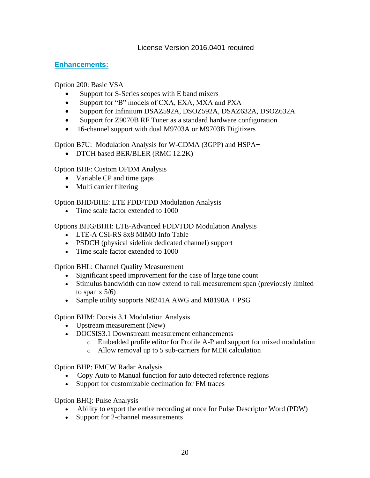### License Version 2016.0401 required

### **Enhancements:**

Option 200: Basic VSA

- Support for S-Series scopes with E band mixers
- Support for "B" models of CXA, EXA, MXA and PXA
- Support for Infiniium DSAZ592A, DSOZ592A, DSAZ632A, DSOZ632A
- Support for Z9070B RF Tuner as a standard hardware configuration
- 16-channel support with dual M9703A or M9703B Digitizers

Option B7U: Modulation Analysis for W-CDMA (3GPP) and HSPA+

• DTCH based BER/BLER (RMC 12.2K)

Option BHF: Custom OFDM Analysis

- Variable CP and time gaps
- Multi carrier filtering

Option BHD/BHE: LTE FDD/TDD Modulation Analysis

• Time scale factor extended to 1000

Options BHG/BHH: LTE-Advanced FDD/TDD Modulation Analysis

- LTE-A CSI-RS 8x8 MIMO Info Table
- PSDCH (physical sidelink dedicated channel) support
- Time scale factor extended to 1000

Option BHL: Channel Quality Measurement

- Significant speed improvement for the case of large tone count
- Stimulus bandwidth can now extend to full measurement span (previously limited to span  $x$  5/6)
- Sample utility supports N8241A AWG and M8190A + PSG

Option BHM: Docsis 3.1 Modulation Analysis

- Upstream measurement (New)
- DOCSIS3.1 Downstream measurement enhancements
	- $\circ$  Embedded profile editor for Profile A-P and support for mixed modulation
	- o Allow removal up to 5 sub-carriers for MER calculation

Option BHP: FMCW Radar Analysis

- Copy Auto to Manual function for auto detected reference regions
- Support for customizable decimation for FM traces

Option BHQ: Pulse Analysis

- Ability to export the entire recording at once for Pulse Descriptor Word (PDW)
- Support for 2-channel measurements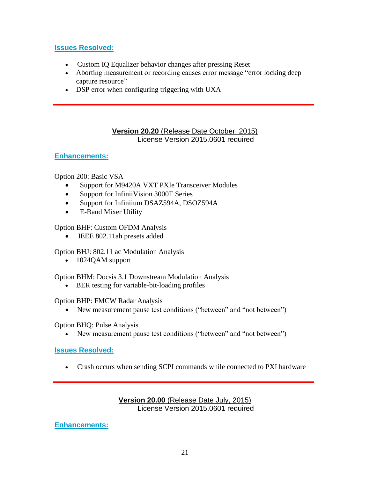### **Issues Resolved:**

- Custom IQ Equalizer behavior changes after pressing Reset
- Aborting measurement or recording causes error message "error locking deep capture resource"
- DSP error when configuring triggering with UXA

### **Version 20.20** (Release Date October, 2015) License Version 2015.0601 required

# **Enhancements:**

Option 200: Basic VSA

- Support for M9420A VXT PXIe Transceiver Modules
- Support for InfiniiVision 3000T Series
- Support for Infiniium DSAZ594A, DSOZ594A
- E-Band Mixer Utility

Option BHF: Custom OFDM Analysis

• IEEE 802.11ah presets added

Option BHJ: 802.11 ac Modulation Analysis

• 1024QAM support

Option BHM: Docsis 3.1 Downstream Modulation Analysis

• BER testing for variable-bit-loading profiles

### Option BHP: FMCW Radar Analysis

• New measurement pause test conditions ("between" and "not between")

Option BHQ: Pulse Analysis

New measurement pause test conditions ("between" and "not between")

### **Issues Resolved:**

• Crash occurs when sending SCPI commands while connected to PXI hardware

### **Version 20.00** (Release Date July, 2015) License Version 2015.0601 required

**Enhancements:**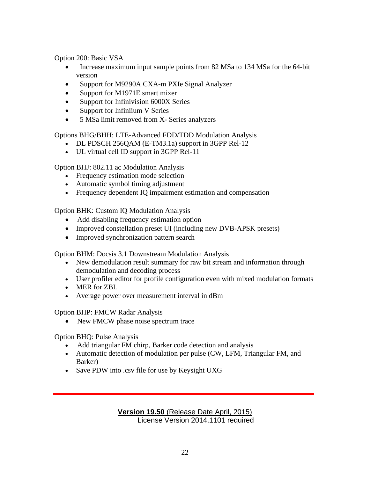Option 200: Basic VSA

- Increase maximum input sample points from 82 MSa to 134 MSa for the 64-bit version
- Support for M9290A CXA-m PXIe Signal Analyzer
- Support for M1971E smart mixer
- Support for Infinivision 6000X Series
- Support for Infiniium V Series
- 5 MSa limit removed from X- Series analyzers

Options BHG/BHH: LTE-Advanced FDD/TDD Modulation Analysis

- DL PDSCH 256QAM (E-TM3.1a) support in 3GPP Rel-12
- UL virtual cell ID support in 3GPP Rel-11

Option BHJ: 802.11 ac Modulation Analysis

- Frequency estimation mode selection
- Automatic symbol timing adjustment
- Frequency dependent IQ impairment estimation and compensation

Option BHK: Custom IQ Modulation Analysis

- Add disabling frequency estimation option
- Improved constellation preset UI (including new DVB-APSK presets)
- Improved synchronization pattern search

Option BHM: Docsis 3.1 Downstream Modulation Analysis

- New demodulation result summary for raw bit stream and information through demodulation and decoding process
- User profiler editor for profile configuration even with mixed modulation formats
- MER for ZBL
- Average power over measurement interval in dBm

Option BHP: FMCW Radar Analysis

• New FMCW phase noise spectrum trace

Option BHQ: Pulse Analysis

- Add triangular FM chirp, Barker code detection and analysis
- Automatic detection of modulation per pulse (CW, LFM, Triangular FM, and Barker)
- Save PDW into .csv file for use by Keysight UXG

### **Version 19.50** (Release Date April, 2015) License Version 2014.1101 required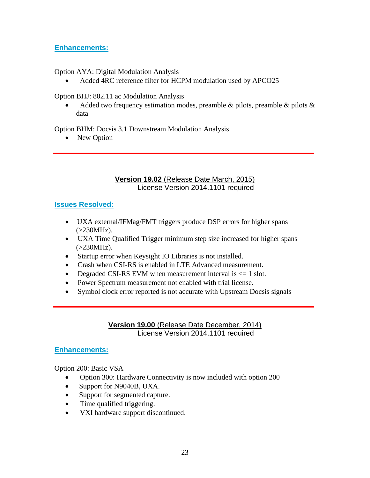### **Enhancements:**

Option AYA: Digital Modulation Analysis

• Added 4RC reference filter for HCPM modulation used by APCO25

Option BHJ: 802.11 ac Modulation Analysis

Added two frequency estimation modes, preamble  $\&$  pilots, preamble  $\&$  pilots  $\&$ data

Option BHM: Docsis 3.1 Downstream Modulation Analysis

• New Option

### **Version 19.02** (Release Date March, 2015) License Version 2014.1101 required

# **Issues Resolved:**

- UXA external/IFMag/FMT triggers produce DSP errors for higher spans  $(>230MHz)$ .
- UXA Time Qualified Trigger minimum step size increased for higher spans  $(>230MHz)$ .
- Startup error when Keysight IO Libraries is not installed.
- Crash when CSI-RS is enabled in LTE Advanced measurement.
- Degraded CSI-RS EVM when measurement interval is  $\leq 1$  slot.
- Power Spectrum measurement not enabled with trial license.
- Symbol clock error reported is not accurate with Upstream Docsis signals

**Version 19.00** (Release Date December, 2014) License Version 2014.1101 required

# **Enhancements:**

Option 200: Basic VSA

- Option 300: Hardware Connectivity is now included with option 200
- Support for N9040B, UXA.
- Support for segmented capture.
- Time qualified triggering.
- VXI hardware support discontinued.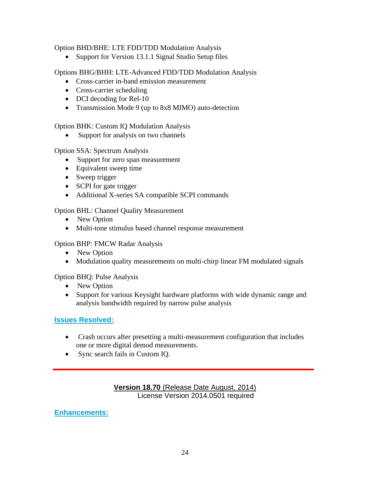### Option BHD/BHE: LTE FDD/TDD Modulation Analysis

• Support for Version 13.1.1 Signal Studio Setup files

Options BHG/BHH: LTE-Advanced FDD/TDD Modulation Analysis

- Cross-carrier in-band emission measurement
- Cross-carrier scheduling
- DCI decoding for Rel-10
- Transmission Mode 9 (up to 8x8 MIMO) auto-detection

Option BHK: Custom IQ Modulation Analysis

Support for analysis on two channels

Option SSA: Spectrum Analysis

- Support for zero span measurement
- Equivalent sweep time
- Sweep trigger
- SCPI for gate trigger
- Additional X-series SA compatible SCPI commands

Option BHL: Channel Quality Measurement

- New Option
- Multi-tone stimulus based channel response measurement

Option BHP: FMCW Radar Analysis

- New Option
- Modulation quality measurements on multi-chirp linear FM modulated signals

Option BHQ: Pulse Analysis

- New Option
- Support for various Keysight hardware platforms with wide dynamic range and analysis bandwidth required by narrow pulse analysis

### **Issues Resolved:**

- Crash occurs after presetting a multi-measurement configuration that includes one or more digital demod measurements.
- Sync search fails in Custom IQ.

### **Version 18.70** (Release Date August, 2014) License Version 2014.0501 required

**Enhancements:**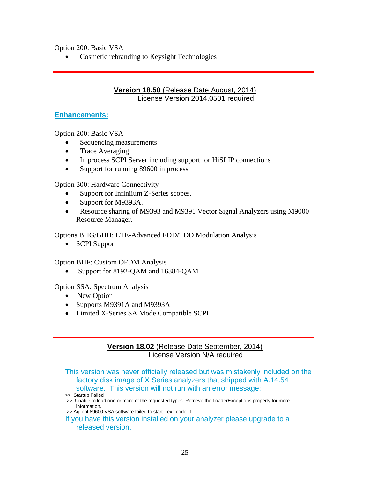Option 200: Basic VSA

• Cosmetic rebranding to Keysight Technologies

#### **Version 18.50** (Release Date August, 2014) License Version 2014.0501 required

#### **Enhancements:**

Option 200: Basic VSA

- Sequencing measurements
- Trace Averaging
- In process SCPI Server including support for HiSLIP connections
- Support for running 89600 in process

Option 300: Hardware Connectivity

- Support for Infiniium Z-Series scopes.
- Support for M9393A.
- Resource sharing of M9393 and M9391 Vector Signal Analyzers using M9000 Resource Manager.

Options BHG/BHH: LTE-Advanced FDD/TDD Modulation Analysis

• SCPI Support

Option BHF: Custom OFDM Analysis

• Support for 8192-QAM and 16384-QAM

Option SSA: Spectrum Analysis

- New Option
- Supports M9391A and M9393A
- Limited X-Series SA Mode Compatible SCPI

#### **Version 18.02** (Release Date September, 2014) License Version N/A required

This version was never officially released but was mistakenly included on the factory disk image of X Series analyzers that shipped with A.14.54 software. This version will not run with an error message:

- >> Unable to load one or more of the requested types. Retrieve the LoaderExceptions property for more information.
- >> Agilent 89600 VSA software failed to start exit code -1.
- If you have this version installed on your analyzer please upgrade to a released version.

<sup>&</sup>gt;> Startup Failed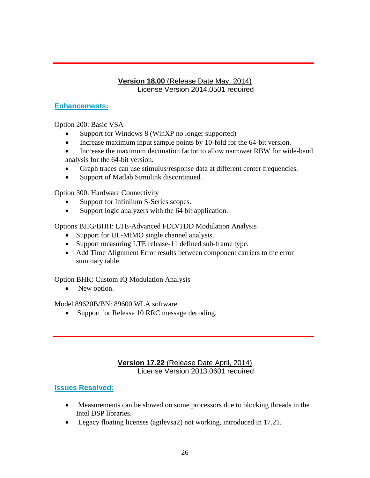### **Version 18.00** (Release Date May, 2014) License Version 2014.0501 required

# **Enhancements:**

Option 200: Basic VSA

- Support for Windows 8 (WinXP no longer supported)
- Increase maximum input sample points by 10-fold for the 64-bit version.
- Increase the maximum decimation factor to allow narrower RBW for wide-band analysis for the 64-bit version.
- Graph traces can use stimulus/response data at different center frequencies.
- Support of Matlab Simulink discontinued.

Option 300: Hardware Connectivity

- Support for Infiniium S-Series scopes.
- Support logic analyzers with the 64 bit application.

Options BHG/BHH: LTE-Advanced FDD/TDD Modulation Analysis

- Support for UL-MIMO single channel analysis.
- Support measuring LTE release-11 defined sub-frame type.
- Add Time Alignment Error results between component carriers to the error summary table.

Option BHK: Custom IQ Modulation Analysis

• New option.

Model 89620B/BN: 89600 WLA software

• Support for Release 10 RRC message decoding.

# **Version 17.22** (Release Date April, 2014) License Version 2013.0601 required

# **Issues Resolved:**

- Measurements can be slowed on some processors due to blocking threads in the Intel DSP libraries.
- Legacy floating licenses (agilevsa2) not working, introduced in 17.21.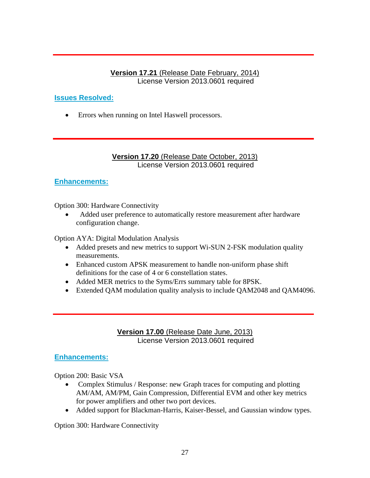### **Version 17.21** (Release Date February, 2014) License Version 2013.0601 required

# **Issues Resolved:**

• Errors when running on Intel Haswell processors.

### **Version 17.20** (Release Date October, 2013) License Version 2013.0601 required

### **Enhancements:**

Option 300: Hardware Connectivity

• Added user preference to automatically restore measurement after hardware configuration change.

Option AYA: Digital Modulation Analysis

- Added presets and new metrics to support Wi-SUN 2-FSK modulation quality measurements.
- Enhanced custom APSK measurement to handle non-uniform phase shift definitions for the case of 4 or 6 constellation states.
- Added MER metrics to the Syms/Errs summary table for 8PSK.
- Extended QAM modulation quality analysis to include QAM2048 and QAM4096.

**Version 17.00** (Release Date June, 2013) License Version 2013.0601 required

### **Enhancements:**

Option 200: Basic VSA

- Complex Stimulus / Response: new Graph traces for computing and plotting AM/AM, AM/PM, Gain Compression, Differential EVM and other key metrics for power amplifiers and other two port devices.
- Added support for Blackman-Harris, Kaiser-Bessel, and Gaussian window types.

Option 300: Hardware Connectivity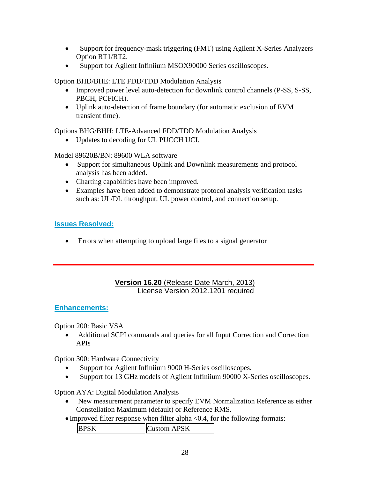- Support for frequency-mask triggering (FMT) using Agilent X-Series Analyzers Option RT1/RT2.
- Support for Agilent Infiniium MSOX90000 Series oscilloscopes.

Option BHD/BHE: LTE FDD/TDD Modulation Analysis

- Improved power level auto-detection for downlink control channels (P-SS, S-SS, PBCH, PCFICH).
- Uplink auto-detection of frame boundary (for automatic exclusion of EVM transient time).

Options BHG/BHH: LTE-Advanced FDD/TDD Modulation Analysis

• Updates to decoding for UL PUCCH UCI.

Model 89620B/BN: 89600 WLA software

- Support for simultaneous Uplink and Downlink measurements and protocol analysis has been added.
- Charting capabilities have been improved.
- Examples have been added to demonstrate protocol analysis verification tasks such as: UL/DL throughput, UL power control, and connection setup.

# **Issues Resolved:**

• Errors when attempting to upload large files to a signal generator

### **Version 16.20** (Release Date March, 2013) License Version 2012.1201 required

# **Enhancements:**

Option 200: Basic VSA

• Additional SCPI commands and queries for all Input Correction and Correction APIs

Option 300: Hardware Connectivity

- Support for Agilent Infiniium 9000 H-Series oscilloscopes.
- Support for 13 GHz models of Agilent Infiniium 90000 X-Series oscilloscopes.

Option AYA: Digital Modulation Analysis

- New measurement parameter to specify EVM Normalization Reference as either Constellation Maximum (default) or Reference RMS.
- Improved filter response when filter alpha <0.4, for the following formats:

| Custom APSK<br><b>BPSK</b> |  |
|----------------------------|--|
|----------------------------|--|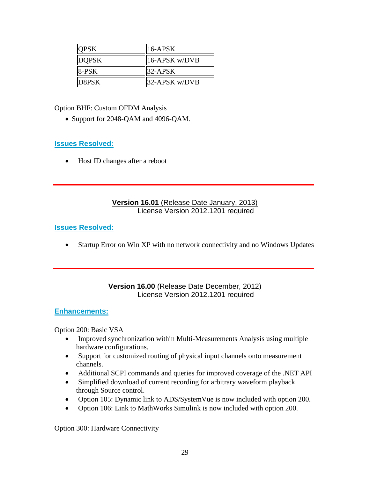| <b>QPSK</b>  | $  16-APSK$       |
|--------------|-------------------|
| <b>DOPSK</b> | $  16-APSK w/DVB$ |
| 8-PSK        | $32-APSK$         |
| D8PSK        | $  32-APSK w/DVB$ |

Option BHF: Custom OFDM Analysis

• Support for 2048-QAM and 4096-QAM.

### **Issues Resolved:**

• Host ID changes after a reboot

#### **Version 16.01** (Release Date January, 2013) License Version 2012.1201 required

#### **Issues Resolved:**

• Startup Error on Win XP with no network connectivity and no Windows Updates

### **Version 16.00** (Release Date December, 2012) License Version 2012.1201 required

### **Enhancements:**

Option 200: Basic VSA

- Improved synchronization within Multi-Measurements Analysis using multiple hardware configurations.
- Support for customized routing of physical input channels onto measurement channels.
- Additional SCPI commands and queries for improved coverage of the .NET API
- Simplified download of current recording for arbitrary waveform playback through Source control.
- Option 105: Dynamic link to ADS/SystemVue is now included with option 200.
- Option 106: Link to MathWorks Simulink is now included with option 200.

Option 300: Hardware Connectivity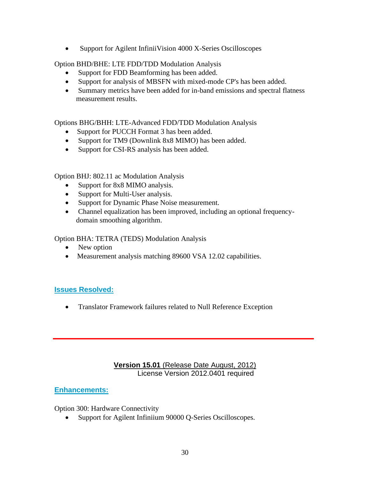• Support for Agilent InfiniiVision 4000 X-Series Oscilloscopes

### Option BHD/BHE: LTE FDD/TDD Modulation Analysis

- Support for FDD Beamforming has been added.
- Support for analysis of MBSFN with mixed-mode CP's has been added.
- Summary metrics have been added for in-band emissions and spectral flatness measurement results.

Options BHG/BHH: LTE-Advanced FDD/TDD Modulation Analysis

- Support for PUCCH Format 3 has been added.
- Support for TM9 (Downlink 8x8 MIMO) has been added.
- Support for CSI-RS analysis has been added.

Option BHJ: 802.11 ac Modulation Analysis

- Support for 8x8 MIMO analysis.
- Support for Multi-User analysis.
- Support for Dynamic Phase Noise measurement.
- Channel equalization has been improved, including an optional frequencydomain smoothing algorithm.

Option BHA: TETRA (TEDS) Modulation Analysis

- New option
- Measurement analysis matching 89600 VSA 12.02 capabilities.

# **Issues Resolved:**

• Translator Framework failures related to Null Reference Exception

### **Version 15.01** (Release Date August, 2012) License Version 2012.0401 required

# **Enhancements:**

Option 300: Hardware Connectivity

Support for Agilent Infiniium 90000 Q-Series Oscilloscopes.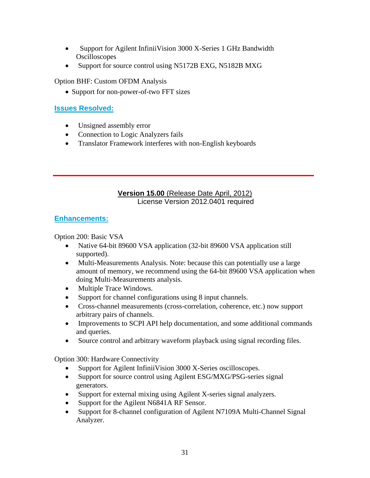- Support for Agilent InfiniiVision 3000 X-Series 1 GHz Bandwidth **Oscilloscopes**
- Support for source control using N5172B EXG, N5182B MXG

Option BHF: Custom OFDM Analysis

• Support for non-power-of-two FFT sizes

#### **Issues Resolved:**

- Unsigned assembly error
- Connection to Logic Analyzers fails
- Translator Framework interferes with non-English keyboards

### **Version 15.00** (Release Date April, 2012) License Version 2012.0401 required

#### **Enhancements:**

Option 200: Basic VSA

- Native 64-bit 89600 VSA application (32-bit 89600 VSA application still supported).
- Multi-Measurements Analysis. Note: because this can potentially use a large amount of memory, we recommend using the 64-bit 89600 VSA application when doing Multi-Measurements analysis.
- Multiple Trace Windows.
- Support for channel configurations using 8 input channels.
- Cross-channel measurements (cross-correlation, coherence, etc.) now support arbitrary pairs of channels.
- Improvements to SCPI API help documentation, and some additional commands and queries.
- Source control and arbitrary waveform playback using signal recording files.

Option 300: Hardware Connectivity

- Support for Agilent InfiniiVision 3000 X-Series oscilloscopes.
- Support for source control using Agilent ESG/MXG/PSG-series signal [generators.](http://www.agilent.com/find/sources)
- Support for external mixing using Agilent X-series signal analyzers.
- Support for the Agilent N6841A RF Sensor.
- Support for 8-channel configuration of Agilent N7109A Multi-Channel Signal Analyzer.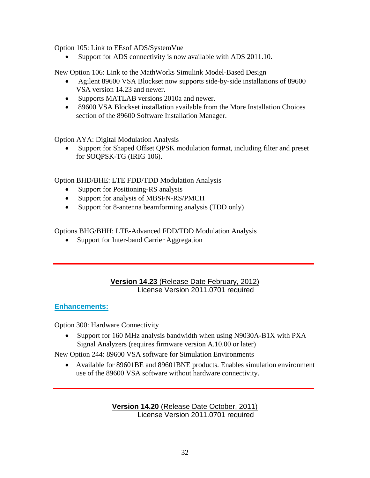Option 105: Link to EEsof ADS/SystemVue

Support for ADS connectivity is now available with ADS 2011.10.

New Option 106: Link to the MathWorks Simulink Model-Based Design

- Agilent 89600 VSA Blockset now supports side-by-side installations of 89600 VSA version 14.23 and newer.
- Supports MATLAB versions 2010a and newer.
- 89600 VSA Blockset installation available from the More Installation Choices section of the 89600 Software Installation Manager.

Option AYA: Digital Modulation Analysis

• Support for Shaped Offset QPSK modulation format, including filter and preset for SOQPSK-TG (IRIG 106).

Option BHD/BHE: LTE FDD/TDD Modulation Analysis

- Support for Positioning-RS analysis
- Support for analysis of MBSFN-RS/PMCH
- Support for 8-antenna beamforming analysis (TDD only)

Options BHG/BHH: LTE-Advanced FDD/TDD Modulation Analysis

• Support for Inter-band Carrier Aggregation

### **Version 14.23** (Release Date February, 2012) License Version 2011.0701 required

### **Enhancements:**

Option 300: Hardware Connectivity

• Support for 160 MHz analysis bandwidth when using N9030A-B1X with PXA Signal Analyzers (requires firmware version A.10.00 or later)

New Option 244: 89600 VSA software for Simulation Environments

• Available for 89601BE and 89601BNE products. Enables simulation environment use of the 89600 VSA software without hardware connectivity.

> **Version 14.20** (Release Date October, 2011) License Version 2011.0701 required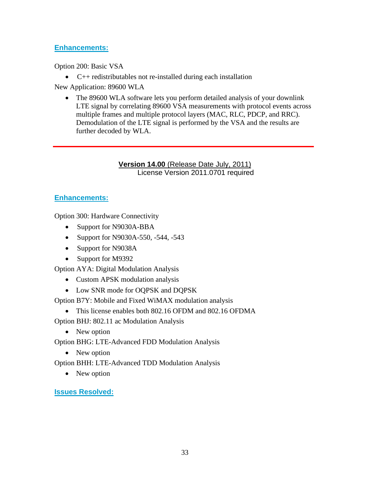# **Enhancements:**

Option 200: Basic VSA

• C++ redistributables not re-installed during each installation

New Application: 89600 WLA

• The 89600 WLA software lets you perform detailed analysis of your downlink LTE signal by correlating 89600 VSA measurements with protocol events across multiple frames and multiple protocol layers (MAC, RLC, PDCP, and RRC). Demodulation of the LTE signal is performed by the VSA and the results are further decoded by WLA.

#### **Version 14.00** (Release Date July, 2011) License Version 2011.0701 required

# **Enhancements:**

Option 300: Hardware Connectivity

- Support for N9030A-BBA
- Support for N9030A-550, -544, -543
- Support for N9038A
- Support for M9392

Option AYA: Digital Modulation Analysis

- Custom APSK modulation analysis
- Low SNR mode for OQPSK and DQPSK

Option B7Y: Mobile and Fixed WiMAX modulation analysis

• This license enables both 802.16 OFDM and 802.16 OFDMA

Option BHJ: 802.11 ac Modulation Analysis

• New option

Option BHG: LTE-Advanced FDD Modulation Analysis

• New option

Option BHH: LTE-Advanced TDD Modulation Analysis

• New option

**Issues Resolved:**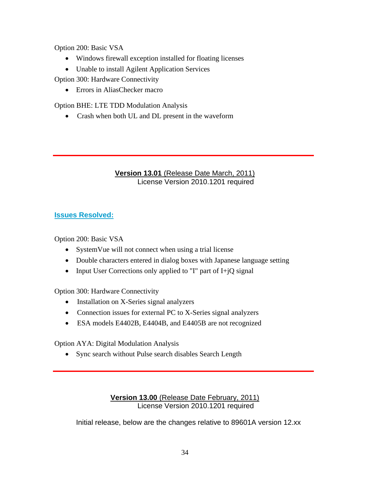Option 200: Basic VSA

- Windows firewall exception installed for floating licenses
- Unable to install Agilent Application Services

Option 300: Hardware Connectivity

• Errors in AliasChecker macro

Option BHE: LTE TDD Modulation Analysis

• Crash when both UL and DL present in the waveform

### **Version 13.01** (Release Date March, 2011) License Version 2010.1201 required

# **Issues Resolved:**

Option 200: Basic VSA

- System Vue will not connect when using a trial license
- Double characters entered in dialog boxes with Japanese language setting
- Input User Corrections only applied to "I" part of I+jQ signal

Option 300: Hardware Connectivity

- Installation on X-Series signal analyzers
- Connection issues for external PC to X-Series signal analyzers
- ESA models E4402B, E4404B, and E4405B are not recognized

Option AYA: Digital Modulation Analysis

• Sync search without Pulse search disables Search Length

### **Version 13.00** (Release Date February, 2011) License Version 2010.1201 required

Initial release, below are the changes relative to 89601A version 12.xx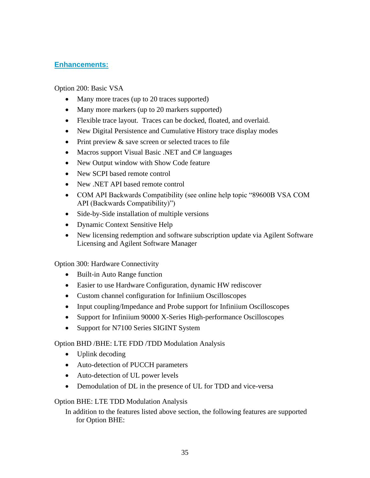# **Enhancements:**

Option 200: Basic VSA

- Many more traces (up to 20 traces supported)
- Many more markers (up to 20 markers supported)
- Flexible trace layout. Traces can be docked, floated, and overlaid.
- New Digital Persistence and Cumulative History trace display modes
- Print preview & save screen or selected traces to file
- Macros support Visual Basic .NET and C# languages
- New Output window with Show Code feature
- New SCPI based remote control
- New .NET API based remote control
- COM API Backwards Compatibility (see online help topic "89600B VSA COM API (Backwards Compatibility)")
- Side-by-Side installation of multiple versions
- Dynamic Context Sensitive Help
- New licensing redemption and software subscription update via Agilent Software Licensing and Agilent Software Manager

Option 300: Hardware Connectivity

- Built-in Auto Range function
- Easier to use Hardware Configuration, dynamic HW rediscover
- Custom channel configuration for Infiniium Oscilloscopes
- Input coupling/Impedance and Probe support for Infiniium Oscilloscopes
- Support for Infiniium 90000 X-Series High-performance Oscilloscopes
- Support for N7100 Series SIGINT System

Option BHD /BHE: LTE FDD /TDD Modulation Analysis

- Uplink decoding
- Auto-detection of PUCCH parameters
- Auto-detection of UL power levels
- Demodulation of DL in the presence of UL for TDD and vice-versa

#### Option BHE: LTE TDD Modulation Analysis

In addition to the features listed above section, the following features are supported for Option BHE: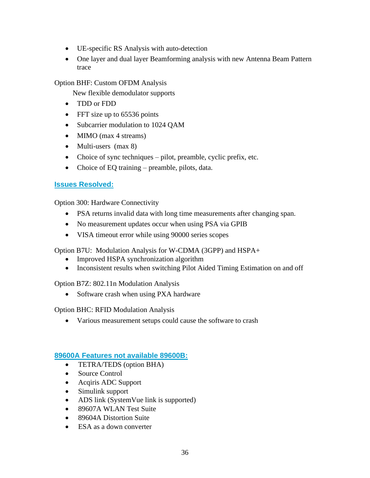- UE-specific RS Analysis with auto-detection
- One layer and dual layer Beamforming analysis with new Antenna Beam Pattern trace

### Option BHF: Custom OFDM Analysis

New flexible demodulator supports

- TDD or FDD
- FFT size up to 65536 points
- Subcarrier modulation to 1024 OAM
- MIMO (max 4 streams)
- Multi-users (max 8)
- Choice of sync techniques pilot, preamble, cyclic prefix, etc.
- Choice of EQ training preamble, pilots, data.

# **Issues Resolved:**

Option 300: Hardware Connectivity

- PSA returns invalid data with long time measurements after changing span.
- No measurement updates occur when using PSA via GPIB
- VISA timeout error while using 90000 series scopes

Option B7U: Modulation Analysis for W-CDMA (3GPP) and HSPA+

- Improved HSPA synchronization algorithm
- Inconsistent results when switching Pilot Aided Timing Estimation on and off

Option B7Z: 802.11n Modulation Analysis

• Software crash when using PXA hardware

Option BHC: RFID Modulation Analysis

• Various measurement setups could cause the software to crash

# **89600A Features not available 89600B:**

- TETRA/TEDS (option BHA)
- Source Control
- Acqiris ADC Support
- Simulink support
- ADS link (SystemVue link is supported)
- 89607A WLAN Test Suite
- 89604A Distortion Suite
- ESA as a down converter